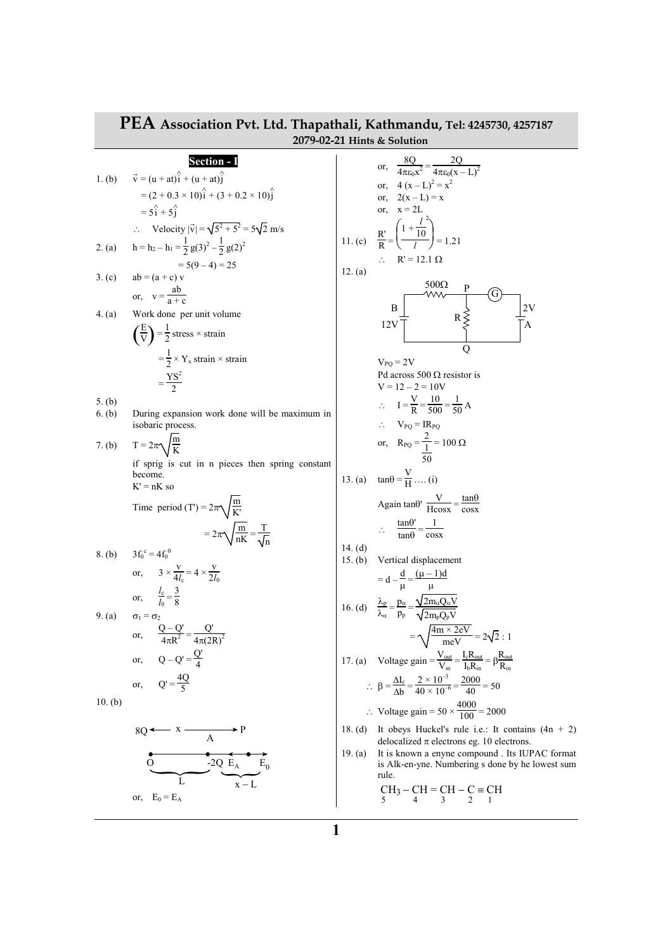|           | T EA Association PVt. Etg. Thapathall, Nathmandu, Tel: 4245730, 4257187<br>2079-02-21 Hints & Solution |           |                                                                                                                           |  |  |  |
|-----------|--------------------------------------------------------------------------------------------------------|-----------|---------------------------------------------------------------------------------------------------------------------------|--|--|--|
|           | Section - I                                                                                            |           |                                                                                                                           |  |  |  |
|           | 1. (b) $\vec{v} = (u + at)\hat{i} + (u + at)\hat{j}$                                                   |           | or, $\frac{8Q}{4\pi\epsilon_0x^2} = \frac{2Q}{4\pi\epsilon_0(x-L)^2}$                                                     |  |  |  |
|           | $=(2 + 0.3 \times 10)\hat{i} + (3 + 0.2 \times 10)\hat{i}$                                             |           | or, $4(x-L)^2 = x^2$<br>or, $2(x - L) = x$                                                                                |  |  |  |
|           | $= 5\hat{i} + 5\hat{i}$                                                                                |           | or, $x = 2L$                                                                                                              |  |  |  |
|           | $\therefore$ Velocity $ \vec{v}  = \sqrt{5^2 + 5^2} = 5\sqrt{2}$ m/s                                   |           | $rac{R'}{R} = \left(\frac{1 + \frac{l}{10}}{l}\right) = 1.21$                                                             |  |  |  |
| 2. (a)    | $h = h_2 - h_1 = \frac{1}{2} g(3)^2 - \frac{1}{2} g(2)^2$                                              |           |                                                                                                                           |  |  |  |
|           | $= 5(9 - 4) = 25$                                                                                      |           | $\therefore$ R' = 12.1 $\Omega$                                                                                           |  |  |  |
| 3. (c)    | $ab = (a + c) v$                                                                                       | 12. (a)   |                                                                                                                           |  |  |  |
|           | or, $v = \frac{ab}{a + c}$                                                                             |           |                                                                                                                           |  |  |  |
| 4. (a)    | Work done per unit volume                                                                              |           | $R \nlessless$<br>B<br>2V                                                                                                 |  |  |  |
|           | $\left(\frac{E}{V}\right) = \frac{1}{2}$ stress × strain                                               |           | 12V<br>A                                                                                                                  |  |  |  |
|           |                                                                                                        |           | О                                                                                                                         |  |  |  |
|           | $=\frac{1}{2}\times Y_x$ strain $\times$ strain                                                        |           | $V_{PQ} = 2V$                                                                                                             |  |  |  |
|           | $=\frac{YS^2}{2}$                                                                                      |           | Pd across 500 $\Omega$ resistor is<br>$V = 12 - 2 = 10V$                                                                  |  |  |  |
| 5. (b)    |                                                                                                        |           | $\therefore I = \frac{V}{R} = \frac{10}{500} = \frac{1}{50} A$                                                            |  |  |  |
| 6. (b)    | During expansion work done will be maximum in<br>isobaric process.                                     |           | $\therefore$ $V_{PQ} = IR_{PQ}$                                                                                           |  |  |  |
|           |                                                                                                        |           |                                                                                                                           |  |  |  |
| 7. (b)    | $T = 2\pi \sqrt{\frac{m}{K}}$                                                                          |           | or, $R_{PQ} = \frac{2}{\frac{1}{50}} = 100 \Omega$                                                                        |  |  |  |
|           | if sprig is cut in n pieces then spring constant<br>become.                                            |           | 13. (a) $\tan\theta = \frac{V}{H}$ (i)                                                                                    |  |  |  |
|           | $K' = nK$ so                                                                                           |           |                                                                                                                           |  |  |  |
|           | Time period (T') = $2\pi\sqrt{\frac{m}{K}}$                                                            |           | Again $\tan\theta'$ $\frac{V}{H\cos x} = \frac{\tan\theta}{\cos x}$                                                       |  |  |  |
|           |                                                                                                        |           | $\therefore \quad \frac{\tan \theta'}{\tan \theta} = \frac{1}{\cos x}$                                                    |  |  |  |
|           | $=2\pi\sqrt{\frac{m}{nK}}=\frac{T}{\sqrt{n}}$                                                          | 14. $(d)$ |                                                                                                                           |  |  |  |
| 8. (b)    | $3f_0^c = 4f_0^0$                                                                                      | 15. $(b)$ | Vertical displacement                                                                                                     |  |  |  |
|           | or, $3 \times \frac{V}{4L} = 4 \times \frac{V}{2L}$                                                    |           | $= d - \frac{a}{\mu} = \frac{(\mu - 1)d}{\mu}$                                                                            |  |  |  |
|           | or, $\frac{l_c}{l_0} = \frac{3}{8}$                                                                    |           |                                                                                                                           |  |  |  |
| 9. (a)    | $\sigma_1 = \sigma_2$                                                                                  |           | 16. (d) $\frac{\lambda_p}{\lambda_\alpha} = \frac{p_\alpha}{p_p} = \frac{\sqrt{2m_\alpha Q_\alpha V}}{\sqrt{2m_p Q_p V}}$ |  |  |  |
|           | $\frac{Q - Q'}{4\pi R^2} = \frac{Q'}{4\pi (2R)^2}$<br>or,                                              |           | $=\sqrt{\frac{4m \times 2eV}{meV}}$ = 2 $\sqrt{2}$ : 1                                                                    |  |  |  |
|           |                                                                                                        |           |                                                                                                                           |  |  |  |
|           | $Q - Q' = \frac{Q'}{4}$<br>or,                                                                         |           | 17. (a) Voltage gain = $\frac{V_{out}}{V_{in}} = \frac{I_c R_{out}}{I_h R_{in}} = \beta \frac{R_{out}}{R_{in}}$           |  |  |  |
|           | $Q' = \frac{4Q}{5}$<br>or,                                                                             |           | $\therefore \ \beta = \frac{\Delta I_c}{\Delta b} = \frac{2 \times 10^{-3}}{40 \times 10^{-6}} = \frac{2000}{40} = 50$    |  |  |  |
| $10.$ (b) |                                                                                                        |           | ∴ Voltage gain = $50 \times \frac{4000}{100}$ = 2000                                                                      |  |  |  |
|           | $8Q \longleftarrow x \xrightarrow{A} P$                                                                | 18. $(d)$ | It obeys Huckel's rule i.e.: It contains $(4n + 2)$<br>delocalized $\pi$ electrons eg. 10 electrons.                      |  |  |  |
|           | $\overline{O}$ $-2Q$ $E_A$ $E_0$                                                                       | 19. $(a)$ | It is known a enyne compound. Its IUPAC format<br>is Alk-en-yne. Numbering s done by he lowest sum<br>rule.               |  |  |  |
|           |                                                                                                        |           | $CH_3-CH=CH-C=CH$<br>5 4 3 2 1                                                                                            |  |  |  |
|           | or, $E_0 = E_A$                                                                                        |           |                                                                                                                           |  |  |  |

## **PEA Association Pvt. Ltd. Thapathali, Kathmandu, Tel: 4245730, 4257187**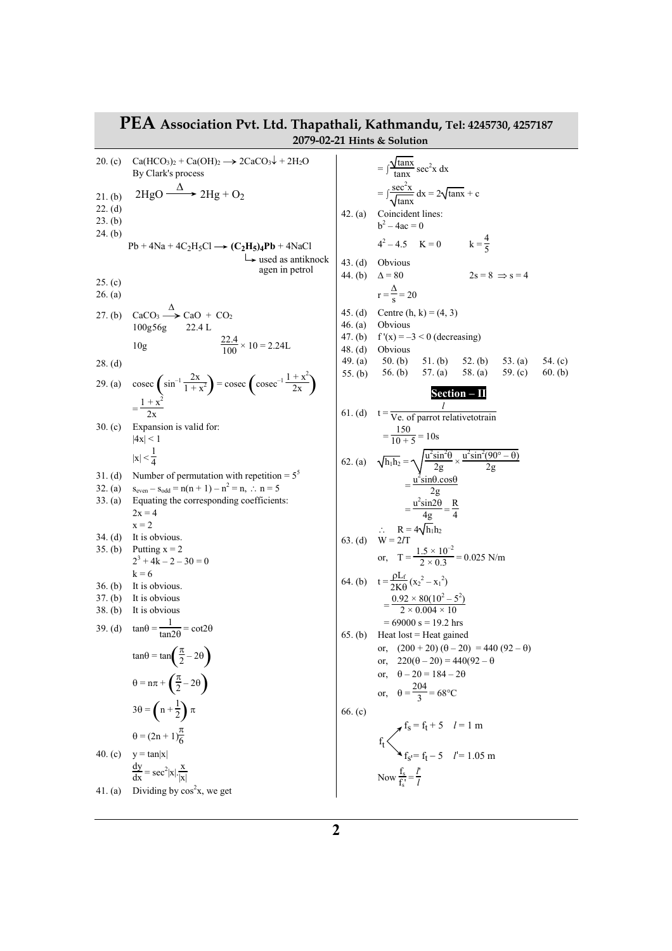|                               | PEA Association Pvt. Ltd. Thapathali, Kathmandu, Tel: 4245730, 4257187                                                              |                      | 2079-02-21 Hints & Solution                                                                                                                                    |                        |
|-------------------------------|-------------------------------------------------------------------------------------------------------------------------------------|----------------------|----------------------------------------------------------------------------------------------------------------------------------------------------------------|------------------------|
| 20. (c)                       | $Ca(HCO3)2 + Ca(OH)2 \longrightarrow 2CaCO3\downarrow + 2H2O$<br>By Clark's process                                                 |                      | $=\int \frac{\sqrt{\tan x}}{\tan x} \sec^2 x dx$                                                                                                               |                        |
| 21. (b)<br>22. (d)<br>23. (b) | $2HgO \xrightarrow{\Delta} 2Hg + O_2$                                                                                               |                      | $=\int \frac{\sec^2 x}{\sqrt{\tan x}} dx = 2\sqrt{\tan x} + c$<br>42. (a) Coincident lines:<br>$b^2 - 4ac = 0$                                                 |                        |
| 24. (b)                       | $Pb + 4Na + 4C_2H_5Cl \rightarrow (C_2H_5)_4Pb + 4NaCl$<br>$\rightarrow$ used as antiknock                                          |                      | $4^2 - 4.5$ K = 0 k = $\frac{4}{5}$<br>43. (d) Obvious                                                                                                         |                        |
| 25. (c)<br>26. (a)            | agen in petrol                                                                                                                      |                      | $2s = 8 \implies s = 4$<br>44. (b) $\Delta = 80$<br>$r = \frac{\Delta}{s} = 20$                                                                                |                        |
| 27. (b)                       | $CaCO3 \xrightarrow{\Delta} CaO + CO2$<br>100g56g 22.4 L                                                                            | 46. $(a)$<br>47. (b) | 45. (d) Centre (h, k) = $(4, 3)$<br>Obvious<br>$f'(x) = -3 < 0$ (decreasing)                                                                                   |                        |
| $28.$ (d)                     | $\frac{22.4}{100} \times 10 = 2.24$ L<br>10 <sub>g</sub>                                                                            | 48. (d)              | Obvious<br>49. (a) $50.$ (b)<br>$51.$ (b)<br>52. (b)<br>53. (a)<br>57. $(a)$<br>58. (a)<br>59. $(c)$<br>55. (b) 56. (b)                                        | 54. $(c)$<br>$60.$ (b) |
| 29. (a)                       | $\csc\left(\sin^{-1}\frac{2x}{1+x^2}\right) = \csc\left(\csc^{-1}\frac{1+x^2}{2x}\right)$<br>$=\frac{1+x^2}{2}$                     |                      | Section – II                                                                                                                                                   |                        |
| 30. $(c)$                     | Expansion is valid for:<br> 4x  < 1                                                                                                 |                      | 61. (d) $t = \frac{l}{Ve$ . of parrot relative to train<br>$=\frac{150}{10+5}=10s$                                                                             |                        |
| 31. (d)<br>32. (a)            | $ x  < \frac{1}{4}$<br>Number of permutation with repetition = $5^5$<br>$s_{even} - s_{odd} = n(n + 1) - n^2 = n, \therefore n = 5$ |                      | 62. (a) $\sqrt{h_1 h_2} = \sqrt{\frac{u^2 \sin^2 \theta}{2g}} \times \frac{u^2 \sin^2(90^\circ - \theta)}{2g}$<br>$=\frac{u^2\sin\theta\cdot\cos\theta}{2\pi}$ |                        |
| 33. (a)                       | Equating the corresponding coefficients:<br>$2x = 4$<br>$x = 2$                                                                     |                      | $=\frac{u^2\sin 2\theta}{4\sigma}=\frac{R}{4}$                                                                                                                 |                        |
| $34.$ (d)<br>35. (b)          | It is obvious.<br>Putting $x = 2$<br>$2^3 + 4k - 2 - 30 = 0$                                                                        |                      | $\therefore$ R = 4 $\sqrt{h_1}h_2$<br>63. (d) W = 2 <i>I</i> T<br>or, $T = \frac{1.5 \times 10^{-2}}{2 \times 0.3} = 0.025$ N/m                                |                        |
| 36. (b)<br>37. (b)            | $k = 6$<br>It is obvious.<br>It is obvious                                                                                          |                      | 64. (b) $t = \frac{\rho L_f}{2K \rho} (x_2^2 - x_1^2)$<br>$=\frac{0.92\times80(10^2-5^2)}{2\times0.004\times10}$                                               |                        |
| 38. (b)                       | It is obvious<br>39. (d) $\tan\theta = \frac{1}{\tan 2\theta} = \cot 2\theta$                                                       |                      | $= 69000$ s = 19.2 hrs<br>$65.$ (b) Heat lost = Heat gained                                                                                                    |                        |
|                               | $tan\theta = tan\left(\frac{\pi}{2} - 2\theta\right)$<br>$\theta = n\pi + \left(\frac{\pi}{2} - 2\theta\right)$                     |                      | or, $(200 + 20) (\theta - 20) = 440 (92 - \theta)$<br>or, $220(\theta - 20) = 440(92 - \theta)$<br>or, $\theta - 20 = 184 - 2\theta$                           |                        |
|                               | $3\theta = \left(n + \frac{1}{2}\right)\pi$                                                                                         | 66. $(c)$            | or, $\theta = \frac{204}{3} = 68^{\circ}\text{C}$                                                                                                              |                        |
| 40. $(c)$                     | $heta = (2n + 1)\frac{\pi}{6}$<br>$y = \tan x $                                                                                     |                      | $f_S = f_t + 5$ $l = 1$ m<br>$f_S = f_t - 5$ $l' = 1.05$ m<br>Now $\frac{f_s}{f_s'} = \frac{l'}{l}$                                                            |                        |
| 41. (a)                       | $rac{dy}{dx} = \sec^2 x  \cdot \frac{x}{ x }$<br>Dividing by $cos2x$ , we get                                                       |                      |                                                                                                                                                                |                        |
|                               |                                                                                                                                     |                      |                                                                                                                                                                |                        |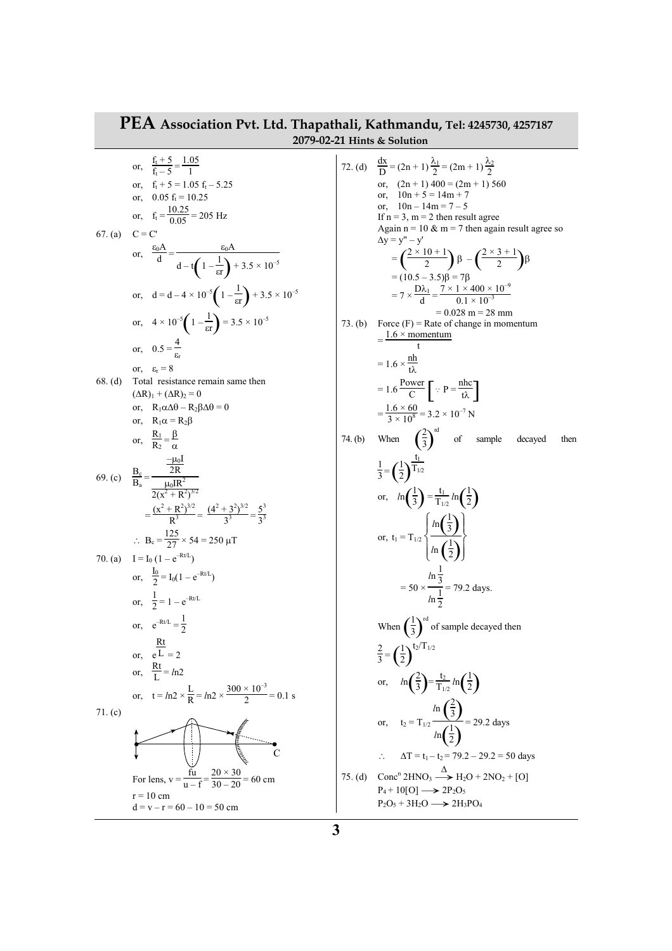## **PEA Association Pvt. Ltd. Thapathali, Kathmandu, Tel: 4245730, 4257187 2079-02-21 Hints & Solution**

or,  $\frac{f_t + 5}{f_t - 5} = \frac{1.05}{1}$ 1 or,  $f_t + 5 = 1.05 f_t - 5.25$ or,  $0.05 f_t = 10.25$ or,  $f_t = \frac{10.25}{0.05} = 205$  Hz 67. (a)  $C = C'$ or,  $\frac{\varepsilon_0 A}{d}$  $\frac{d}{d} = \frac{\epsilon_0 A}{\epsilon_0 A}$  $d-t\left(1-\frac{1}{\epsilon r}\right)+$  $\frac{1}{\epsilon r}$  + 3.5 × 10<sup>-5</sup> or,  $d = d - 4 \times 10^{-5} \left( 1 - \frac{1}{\epsilon r} \right) +$  $\frac{1}{\text{er}}$  + 3.5 × 10<sup>-5</sup> or,  $4 \times 10^{-5} \left( 1 - \frac{1}{\text{er}} \right) =$  $\frac{1}{\text{er}}$  = 3.5 × 10<sup>-5</sup> or,  $0.5 = \frac{4}{3}$  $\varepsilon_{\rm r}$ or,  $\varepsilon_r = 8$ 68. (d) Total resistance remain same then  $(\Delta R)_1 + (\Delta R)_2 = 0$ or,  $R_1\alpha\Delta\theta - R_2\beta\Delta\theta = 0$ or,  $R_1 \alpha = R_2 \beta$ or,  $\frac{R_1}{R_2}$  $\frac{R_1}{R_2} = \frac{\beta}{\alpha}$ α 69. (c)  $\frac{B_c}{B_a}$  =  $-\mu_0 I$ 2R  $\mu_0$ IR<sup>2</sup>  $2(x^2 + R^2)^{3/2}$  $=\frac{(x^2+R^2)^{3/2}}{R^3}$  $\frac{(4^2+3^2)^{3/2}}{3^3} = \frac{(4^2+3^2)^{3/2}}{3^3}$  $\frac{(x+3)^{3/2}}{3^3} = \frac{5^3}{3^3}$ 3 3 ∴ B<sub>c</sub> =  $\frac{125}{27}$  × 54 = 250 µT 70. (a)  $I = I_0 (1 - e^{-Rt/L})$ or,  $\frac{I_0}{2}$  $\frac{10}{2}$  = I<sub>0</sub>(1 – e<sup>-Rt/L</sup>) or,  $\frac{1}{2}$  $\frac{1}{2}$  = 1 –  $e^{-Rt/L}$ or,  $e^{-Rt/L} = \frac{1}{2}$ 2 or, e Rt  $L = 2$ or,  $\frac{Rt}{I}$  $\frac{R}{L}$  =  $ln2$ or,  $t = ln2 \times \frac{L}{R}$  $\frac{L}{R} = ln2 \times \frac{300 \times 10^{-3}}{2}$  $\frac{18}{2}$  = 0.1 s 71. (c) For lens,  $v = \frac{fu}{u - f} = \frac{20 \times 30}{30 - 20} = 60$  cm  $r = 10$  cm  $d = v - r = 60 - 10 = 50$  cm  $\mathcal{C}_{0}^{(n)}$ 

72. (d) 
$$
\frac{dx}{D} = (2n + 1) \frac{\lambda_1}{2} = (2m + 1) \frac{\lambda_2}{2}
$$
  
\nor,  $(2n + 1) 400 = (2m + 1) 560$   
\nor,  $10n - 14m + 7$   
\nor,  $10n - 14m - 7 - 5$   
\nIf n = 3, m = 2 then result agree  
\nAgain n = 10 & m = 7 then again result agree so  
\n $\Delta y = y^n - y'$   
\n $= \left(\frac{2 \times 10 + 1}{2}\right) \beta - \left(\frac{2 \times 3 + 1}{2}\right) \beta$   
\n $= (10.5 - 3.5) \beta - 7\beta$   
\n $= 7 \times \frac{D\lambda_1}{d} = \frac{7 \times 1 \times 400 \times 10^{-9}}{0.1 \times 10^{-3}}$   
\n $= 0.028 m = 28 mm$   
\n73. (b) Force (F) = Rate of change in momentum  
\n $= \frac{1.6 \times \frac{m}{t\lambda}}{t}$   
\n $= 1.6 \frac{Power}{C} \left[\because P = \frac{nhc}{t\lambda}\right]$   
\n $= \frac{1.6 \times 60}{3 \times 10^8} = 3.2 \times 10^{-7} N$   
\n74. (b) When  $\left(\frac{2}{3}\right)^{nd}$  of sample decayed then  
\n $\frac{1}{3} = \left(\frac{1}{2}\right)^{\frac{t_1}{1/2}}$   
\nor,  $ln\left(\frac{1}{3}\right) = \frac{t_1}{T_{1/2}} ln\left(\frac{1}{2}\right)$   
\nor,  $t_1 = T_{1/2} \left\{\frac{ln\left(\frac{1}{3}\right)}{ln\left(\frac{1}{2}\right)}\right\}$   
\n $= 50 \times \frac{ln\frac{1}{3}}{ln\frac{1}{2}} = 79.2$  days.  
\nWhen  $\left(\frac{1}{3}\right)^{nd}$  of sample decayed then  
\n $\frac{2}{3} = \left(\frac{1}{2}\right)^{t_2/T_{1/2}}$   
\nor,  $ln\left(\frac{2}{3}\right) = \frac{t_2$